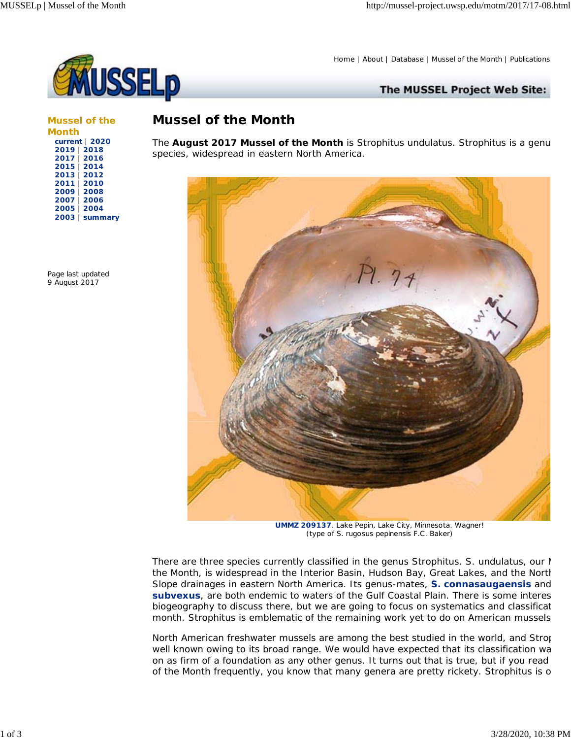

Home | About | Database | Mussel of the Month | Publications

The MUSSEL Project Web Site:

**Mussel of the Month current** | **2020 2019** | **2018 2017** | **2016 2015** | **2014 2013** | **2012 2011** | **2010 2009** | **2008 2007** | **2006 2005** | **2004 2003** | **summary**

Page last updated 9 August 2017

## *Mussel of the Month*

The **August 2017 Mussel of the Month** is Strophitus undulatus. Strophitus is a genu species, widespread in eastern North America.



**UMMZ 209137**. Lake Pepin, Lake City, Minnesota. Wagner! (type of S. rugosus pepinensis F.C. Baker)

There are three species currently classified in the genus Strophitus. S. undulatus, our  $M$ the Month, is widespread in the Interior Basin, Hudson Bay, Great Lakes, and the North Slope drainages in eastern North America. Its genus-mates, **S. connasaugaensis** and **subvexus**, are both endemic to waters of the Gulf Coastal Plain. There is some interes biogeography to discuss there, but we are going to focus on systematics and classificat month. Strophitus is emblematic of the remaining work yet to do on American mussels

North American freshwater mussels are among the best studied in the world, and Strop well known owing to its broad range. We would have expected that its classification wa on as firm of a foundation as any other genus. It turns out that is true, but if you read of the Month frequently, you know that many genera are pretty rickety. Strophitus is o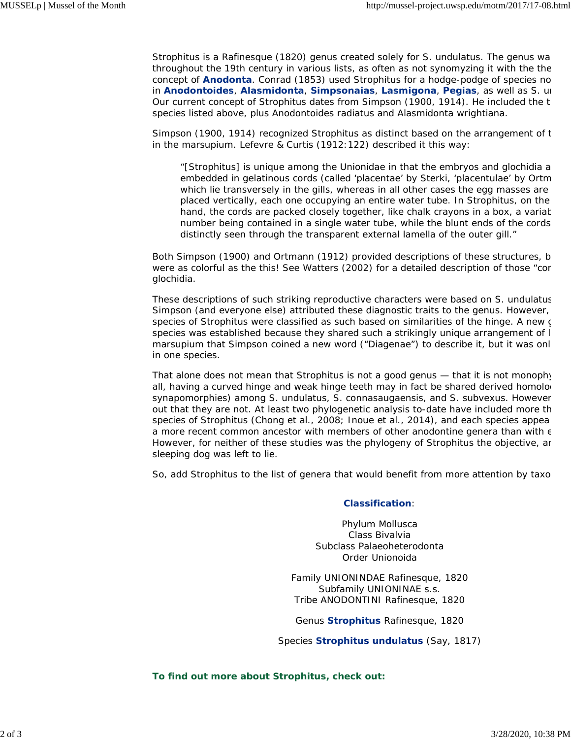Strophitus is a Rafinesque (1820) genus created solely for S. undulatus. The genus wa throughout the 19th century in various lists, as often as not synomyzing it with the the concept of **Anodonta**. Conrad (1853) used Strophitus for a hodge-podge of species no in **Anodontoides**, **Alasmidonta**, **Simpsonaias**, **Lasmigona**, **Pegias**, as well as S. un Our current concept of Strophitus dates from Simpson (1900, 1914). He included the t species listed above, plus Anodontoides radiatus and Alasmidonta wrightiana.

Simpson (1900, 1914) recognized Strophitus as distinct based on the arrangement of t in the marsupium. Lefevre & Curtis (1912:122) described it this way:

"[Strophitus] is unique among the Unionidae in that the embryos and glochidia a embedded in gelatinous cords (called 'placentae' by Sterki, 'placentulae' by Ortm which lie transversely in the gills, whereas in all other cases the egg masses are placed vertically, each one occupying an entire water tube. In Strophitus, on the hand, the cords are packed closely together, like chalk crayons in a box, a variat number being contained in a single water tube, while the blunt ends of the cords distinctly seen through the transparent external lamella of the outer gill."

Both Simpson (1900) and Ortmann (1912) provided descriptions of these structures, b were as colorful as the this! See Watters (2002) for a detailed description of those "cor glochidia.

These descriptions of such striking reproductive characters were based on S. undulatus Simpson (and everyone else) attributed these diagnostic traits to the genus. However, species of Strophitus were classified as such based on similarities of the hinge. A new g species was established because they shared such a strikingly unique arrangement of l marsupium that Simpson coined a new word ("Diagenae") to describe it, but it was onl in one species.

That alone does not mean that Strophitus is not a good genus — that it is not monophy all, having a curved hinge and weak hinge teeth may in fact be shared derived homolog synapomorphies) among S. undulatus, S. connasaugaensis, and S. subvexus. However out that they are not. At least two phylogenetic analysis to-date have included more th species of Strophitus (Chong et al., 2008; Inoue et al., 2014), and each species appea a more recent common ancestor with members of other anodontine genera than with  $\epsilon$ However, for neither of these studies was the phylogeny of Strophitus the objective, an sleeping dog was left to lie.

So, add Strophitus to the list of genera that would benefit from more attention by taxo

## **Classification**:

Phylum Mollusca Class Bivalvia Subclass Palaeoheterodonta Order Unionoida

Family UNIONINDAE Rafinesque, 1820 Subfamily UNIONINAE s.s. Tribe ANODONTINI Rafinesque, 1820

Genus *Strophitus* Rafinesque, 1820

Species *Strophitus undulatus* (Say, 1817)

**To find out more about Strophitus, check out:**